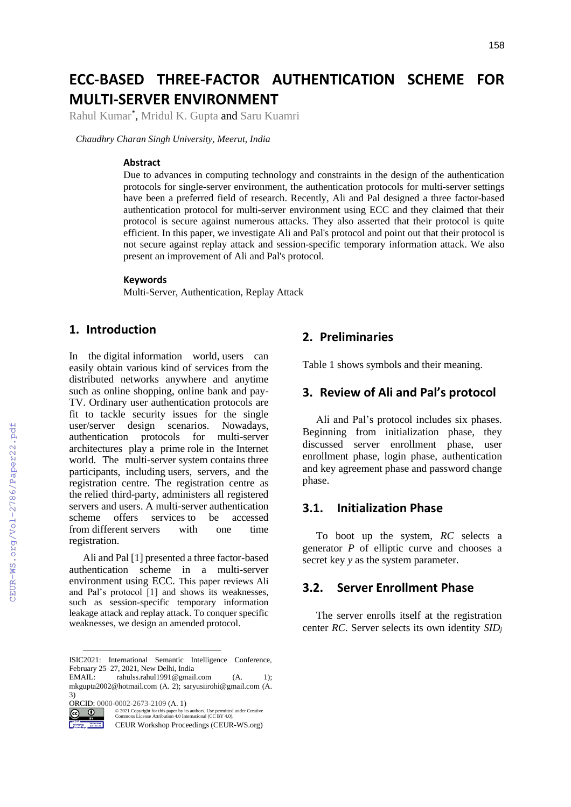# **ECC-BASED THREE-FACTOR AUTHENTICATION SCHEME FOR MULTI-SERVER ENVIRONMENT**

Rahul Kumar*\** , Mridul K. Gupta and Saru Kuamri

*Chaudhry Charan Singh University, Meerut, India*

#### **Abstract**

Due to advances in computing technology and constraints in the design of the authentication protocols for single-server environment, the authentication protocols for multi-server settings have been a preferred field of research. Recently, Ali and Pal designed a three factor-based authentication protocol for multi-server environment using ECC and they claimed that their protocol is secure against numerous attacks. They also asserted that their protocol is quite efficient. In this paper, we investigate Ali and Pal's protocol and point out that their protocol is not secure against replay attack and session-specific temporary information attack. We also present an improvement of Ali and Pal's protocol.

#### **Keywords 1**

Multi-Server, Authentication, Replay Attack

## **1. Introduction**

In the digital information world, users can easily obtain various kind of services from the distributed networks anywhere and anytime such as online shopping, online bank and pay-TV. Ordinary user authentication protocols are fit to tackle security issues for the single user/server design scenarios. Nowadays, authentication protocols for multi-server architectures play a prime role in the Internet world. The multi-server system contains three participants, including users, servers, and the registration centre. The registration centre as the relied third-party, administers all registered servers and users. A multi-server authentication scheme offers services to be accessed from different servers with one time registration.

Ali and Pal [1] presented a three factor-based authentication scheme in a multi-server environment using ECC. This paper reviews Ali and Pal's protocol [1] and shows its weaknesses, such as session-specific temporary information leakage attack and replay attack. To conquer specific weaknesses, we design an amended protocol.

ORCID: 0000-0002-2673-2109 (A. 1)

### **2. Preliminaries**

Table 1 shows symbols and their meaning.

## **3. Review of Ali and Pal's protocol**

Ali and Pal's protocol includes six phases. Beginning from initialization phase, they discussed server enrollment phase, user enrollment phase, login phase, authentication and key agreement phase and password change phase.

### **3.1. Initialization Phase**

To boot up the system, *RC* selects a generator *P* of elliptic curve and chooses a secret key *y* as the system parameter.

## **3.2. Server Enrollment Phase**

The server enrolls itself at the registration center *RC*. Server selects its own identity *SID<sup>j</sup>*

ISIC2021: International Semantic Intelligence Conference, February 25–27, 2021, New Delhi, India

EMAIL: rahulss.rahul1991@gmail.com (A. 1); mkgupta2002@hotmail.com (A. 2); saryusiirohi@gmail.com (A. 3)

 $\odot$ 

<sup>©️</sup> 2021 Copyright for this paper by its authors. Use permitted under Creative Commons License Attribution 4.0 International (CC BY 4.0).

CEUR Workshop Proceedings (CEUR-WS.org)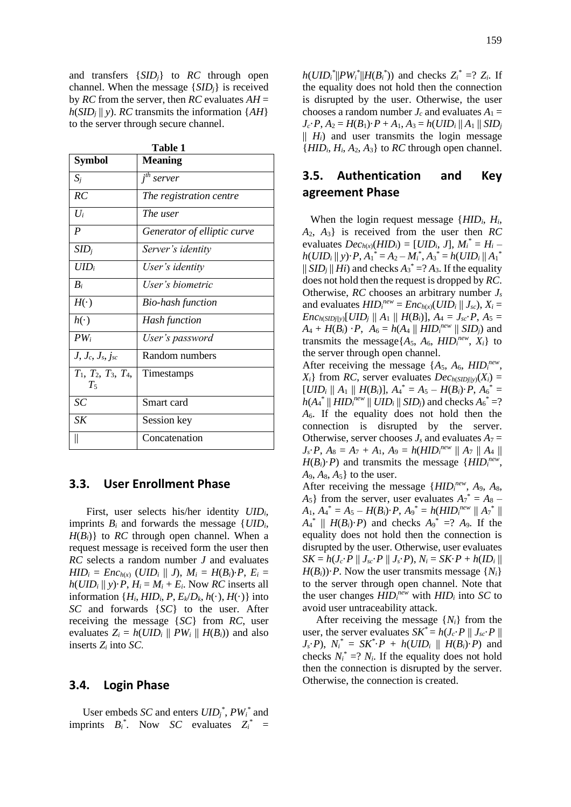and transfers {*SIDj*} to *RC* through open channel. When the message {*SIDj*} is received by *RC* from the server, then *RC* evaluates *AH* =  $h(SID<sub>i</sub> || y)$ . *RC* transmits the information {*AH*} to the server through secure channel.

**Table 1**

| <b>Symbol</b>                            | <b>Meaning</b>                      |
|------------------------------------------|-------------------------------------|
|                                          |                                     |
| $S_i$                                    | $\overline{i}$ <sup>th</sup> server |
| RC                                       | The registration centre             |
| $U_i$                                    | The user                            |
| $\overline{P}$                           | Generator of elliptic curve         |
| $SID_i$                                  | Server's identity                   |
| $UID_i$                                  | User's identity                     |
| $B_i$                                    | User's biometric                    |
| $H(\cdot)$                               | Bio-hash function                   |
| $h(\cdot)$                               | <b>Hash function</b>                |
| $PW_i$                                   | User's password                     |
| $J, J_c, J_s, j_{sc}$                    | Random numbers                      |
| $T_1$ , $T_2$ , $T_3$ , $T_4$ ,<br>$T_5$ | Timestamps                          |
| SC                                       | Smart card                          |
| SK                                       | Session key                         |
| II                                       | Concatenation                       |

**3.3. User Enrollment Phase**

First, user selects his/her identity *UIDi,* imprints  $B_i$  and forwards the message  $\{UID_i,$  $H(B_i)$ } to *RC* through open channel. When a request message is received form the user then *RC* selects a random number *J* and evaluates  $HID_i = Enc_{h(x)} (UID_i || J), M_i = H(B_i) \cdot P, E_i =$  $h(UID_i || y) \cdot P$ ,  $H_i = M_i + E_i$ . Now *RC* inserts all information  $\{H_i, HID_i, P, E_k/D_k, h(\cdot), H(\cdot)\}\$ into *SC* and forwards {*SC*} to the user. After receiving the message {*SC*} from *RC*, user evaluates  $Z_i = h(UID_i || PW_i || H(B_i))$  and also inserts *Z<sup>i</sup>* into *SC*.

#### **3.4. Login Phase**

User embeds *SC* and enters *UID<sup>j</sup> \** , *PW<sup>i</sup> \** and imprints  $B_i^*$ . Now *SC* evaluates  $Z_i^* =$ 

 $h(UID_i^*||PW_i^*||H(B_i^*))$  and checks  $Z_i^* = ? Z_i$ . If the equality does not hold then the connection is disrupted by the user. Otherwise, the user chooses a random number  $J_c$  and evaluates  $A_1 =$  $J_c \cdot P$ ,  $A_2 = H(B_1) \cdot P + A_1$ ,  $A_3 = h(UID_i || A_1 || SID_j)$  $|| H_i$  and user transmits the login message  ${HID_i, H_i, A_2, A_3}$  to *RC* through open channel.

# **3.5. Authentication and Key agreement Phase**

 When the login request message {*HIDi*, *Hi*, *A*2, *A*3} is received from the user then *RC* evaluates  $Dec_{h(x)}(HID_i) = [UID_i, J], M_i^* = H_i$  $h(UID_i \parallel y) \cdot P$ ,  $A_1^* = A_2 - M_i^*$ ,  $A_3^* = h(UID_i \parallel {A_1}^*$  $||$  *SID<sub>j</sub>*  $||$  *Hi*) and checks  $A_3^* = ? A_3$ . If the equality does not hold then the request is dropped by *RC*. Otherwise, *RC* chooses an arbitrary number *J<sup>s</sup>* and evaluates  $HID_i^{new} = Enc_{h(x)}(UID_i || J_{sc}), X_i =$ *Enc*<sub>*h*</sub>(*SID*<sub>*j*||*y*</sub>)[*UID*<sub>*j*</sub> || *A*<sub>1</sub> || *H*(*B*<sub>*i*</sub>)], *A*<sub>4</sub> = *J*<sub>*sc*</sub>·*P*, *A*<sub>5</sub> =  $A_4 + H(B_i) \cdot P$ ,  $A_6 = h(A_4 || HID_i^{new} || SID_j)$  and transmits the message $\{A_5, A_6, HID_i^{new}, X_i\}$  to the server through open channel.

After receiving the message  $\{A_5, A_6, HID_i^{new},$  $X_i$ } from *RC*, server evaluates  $Dec_{h(SIDj||y)}(X_i) =$  $[UID_i \parallel A_1 \parallel H(B_i)], A_4^* = A_5 - H(B_i) \cdot P, A_6^* =$ *h*( $A_4^*$  || *HID*<sup>*new*</sup> || *UIDi* || *SIDj*) and checks  $A_6^*$  =? *A*6. If the equality does not hold then the connection is disrupted by the server. Otherwise, server chooses  $J_s$  and evaluates  $A_7 =$  $J_s \cdot P$ ,  $A_8 = A_7 + A_1$ ,  $A_9 = h(HID_i^{new} || A_7 || A_4 ||$  $H(B_i) \cdot P$  and transmits the message { $HID_i^{new}$ ,  $A_9, A_8, A_5$  to the user.

After receiving the message {*HID<sup>i</sup> new* , *A*9, *A*8,  $A_5$ } from the server, user evaluates  $A_7^* = A_8 - A_9$  $A_1, A_4^* = A_5 - H(B_i) \cdot P, A_9^* = h(HID_i^{new} || A_7^* ||)$  $A_4^*$  ||  $H(B_i) \cdot P$  and checks  $A_9^*$  =?  $A_9$ . If the equality does not hold then the connection is disrupted by the user. Otherwise, user evaluates  $SK = h(J_c \cdot P \parallel J_{sc} \cdot P \parallel J_s \cdot P), N_i = SK \cdot P + h(ID_i \parallel$  $H(B_i)$ )·*P*. Now the user transmits message  $\{N_i\}$ to the server through open channel. Note that the user changes  $HID_i^{new}$  with  $HID_i$  into *SC* to avoid user untraceability attack.

After receiving the message  $\{N_i\}$  from the user, the server evaluates  $SK^* = h(J_c \cdot P || J_{sc} \cdot P ||$ *J*<sub>*s*</sub>·*P*),  $N_i^* = SK^* \cdot P + h(UID_i \parallel H(B_i) \cdot P)$  and checks  $N_i^* = ? N_i$ . If the equality does not hold then the connection is disrupted by the server. Otherwise, the connection is created.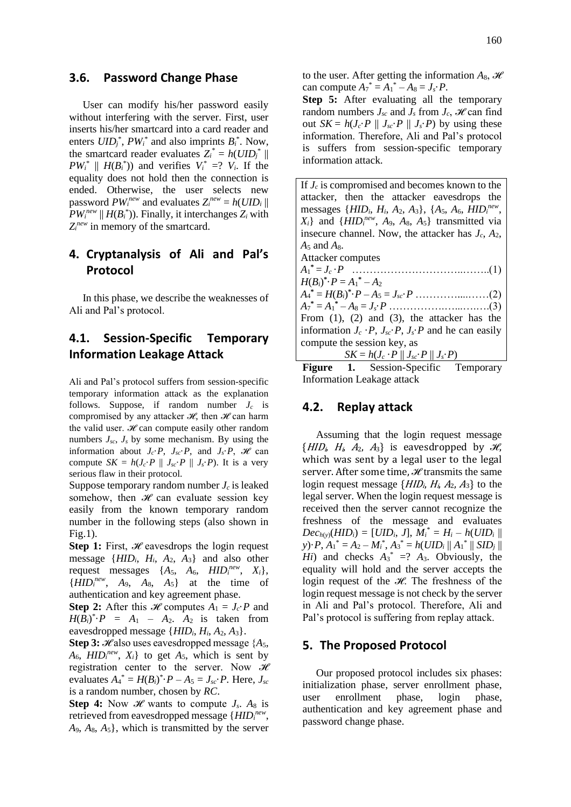#### **3.6. Password Change Phase**

User can modify his/her password easily without interfering with the server. First, user inserts his/her smartcard into a card reader and enters  $UID_j^*$ ,  $PW_i^*$  and also imprints  $B_i^*$ . Now, the smartcard reader evaluates  $Z_i^* = h(UID_j^*)$  $PW_i^*$  ||  $H(B_i^*)$ ) and verifies  $V_i^* = ?$   $V_i$ . If the equality does not hold then the connection is ended. Otherwise, the user selects new password  $PW_i^{new}$  and evaluates  $Z_i^{new} = h(UID_i ||$  $PW_i^{new}$  ||  $H(B_i^*)$ ). Finally, it interchanges  $Z_i$  with *Zi new* in memory of the smartcard.

# **4. Cryptanalysis of Ali and Pal's Protocol**

In this phase, we describe the weaknesses of Ali and Pal's protocol.

# **4.1. Session-Specific Temporary Information Leakage Attack**

Ali and Pal's protocol suffers from session-specific temporary information attack as the explanation follows. Suppose, if random number *J<sup>c</sup>* is compromised by any attacker  $\mathcal{H}$ , then  $\mathcal{H}$  can harm the valid user.  $\mathcal{H}$  can compute easily other random numbers  $J_{sc}$ ,  $J_{s}$  by some mechanism. By using the information about  $J_c \cdot P$ ,  $J_{sc} \cdot P$ , and  $J_s \cdot P$ ,  $\mathcal{H}$  can compute  $SK = h(J_c \cdot P \parallel J_{sc} \cdot P \parallel J_s \cdot P)$ . It is a very serious flaw in their protocol.

Suppose temporary random number *J<sup>c</sup>* is leaked somehow, then  $\mathcal{H}$  can evaluate session key easily from the known temporary random number in the following steps (also shown in Fig.1).

**Step 1:** First, ℋ eavesdrops the login request message  $\{HID_i, H_i, A_2, A_3\}$  and also other request messages  $\{A_5, A_6, HID_i^{new}, X_i\},\$  ${HID<sub>i</sub><sup>new</sup>$ ,  $A<sub>9</sub>$ ,  $A<sub>8</sub>$ ,  $A<sub>5</sub>}$  at the time of authentication and key agreement phase.

**Step 2:** After this *H* computes  $A_1 = J_c \cdot P$  and  $H(B_i)^* \cdot P = A_1 - A_2$ .  $A_2$  is taken from eavesdropped message {*HIDi*, *Hi*, *A*2, *A*3}.

**Step 3:**  $\mathcal{H}$  also uses eavesdropped message  $\{A_5,$  $A_6$ ,  $HID_i^{new}$ ,  $X_i$  to get  $A_5$ , which is sent by registration center to the server. Now  $\mathcal{H}$ evaluates  $A_4^* = H(B_i)^* \cdot P - A_5 = J_{sc} \cdot P$ . Here,  $J_{sc}$ is a random number, chosen by *RC*.

**Step 4:** Now  $\mathcal{H}$  wants to compute  $J_s$ .  $A_8$  is retrieved from eavesdropped message {*HID<sup>i</sup> new* , *A*9, *A*8, *A*5}, which is transmitted by the server

to the user. After getting the information  $A_8$ ,  $\mathcal{H}$ can compute  $A_7^* = A_1^* - A_8 = J_s \cdot P$ .

**Step 5:** After evaluating all the temporary random numbers  $J_{sc}$  and  $J_{s}$  from  $J_{c}$ ,  $\mathcal{H}$  can find out  $SK = h(J_c \cdot P \parallel J_{sc} \cdot P \parallel J_s \cdot P)$  by using these information. Therefore, Ali and Pal's protocol is suffers from session-specific temporary information attack.

If *J<sup>c</sup>* is compromised and becomes known to the attacker, then the attacker eavesdrops the messages {*HIDi*, *Hi*, *A*2, *A*3}, {*A*5, *A*6, *HID<sup>i</sup> new* ,  $X_i$ } and {*HID*<sup>*new*</sup>, *A*<sub>9</sub>, *A*<sub>8</sub>, *A*<sub>5</sub>} transmitted via insecure channel. Now, the attacker has *Jc*, *A*2, *A*<sup>5</sup> and *A*8. Attacker computes *A*1 **\*** = *J<sup>c</sup>* ·*P* …………………………..……..(1)  $H(B_i)^* \cdot P = A_1^* - A_2$  $A_4^* = H(B_i)^* \cdot P - A_5 = J_{sc} \cdot P \dots$  $A_7^* = A_1^* - A_8 = J_s \cdot P \dots$  …………………………………….(3) From (1), (2) and (3), the attacker has the information  $J_c \cdot P$ ,  $J_{sc} \cdot P$ ,  $J_s \cdot P$  and he can easily

compute the session key, as  $SK = h(J_c \cdot P \parallel J_{sc} \cdot P \parallel J_s \cdot P)$ **Figure 1.** Session-Specific Temporary Information Leakage attack

# **4.2. Replay attack**

Assuming that the login request message  ${HID<sub>i</sub>, H<sub>i</sub>, A<sub>2</sub>, A<sub>3</sub>}$  is eavesdropped by  $\mathcal{H}$ , which was sent by a legal user to the legal server. After some time, *ℋ* transmits the same login request message  $\{HID_i, H_i, A_2, A_3\}$  to the legal server. When the login request message is received then the server cannot recognize the freshness of the message and evaluates  $Dec_{h(y)}(HID_i) = [UID_i, J], M_i^* = H_i - h(UID_i ||$ *y*)·*P*,  $A_1^* = A_2 - M_i^*$ ,  $A_3^* = h(UID_i || A_1^* || SID_j ||$ *Hi*) and checks  $A_3^* = ?$   $A_3$ . Obviously, the equality will hold and the server accepts the login request of the ℋ. The freshness of the login request message is not check by the server in Ali and Pal's protocol. Therefore, Ali and Pal's protocol is suffering from replay attack.

#### **5. The Proposed Protocol**

Our proposed protocol includes six phases: initialization phase, server enrollment phase, user enrollment phase, login phase, authentication and key agreement phase and password change phase.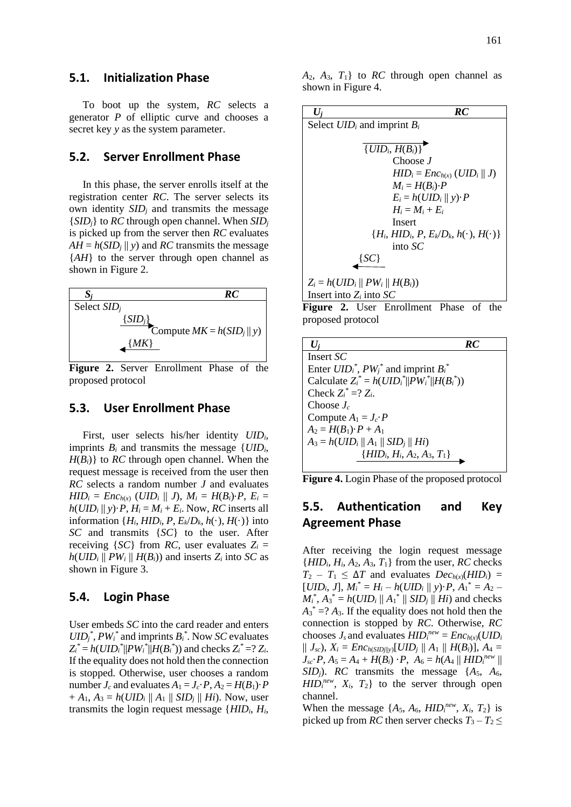To boot up the system, *RC* selects a generator *P* of elliptic curve and chooses a secret key *y* as the system parameter.

### **5.2. Server Enrollment Phase**

In this phase, the server enrolls itself at the registration center *RC*. The server selects its own identity *SID<sup>j</sup>* and transmits the message {*SIDj*} to *RC* through open channel. When *SID<sup>j</sup>* is picked up from the server then *RC* evaluates  $AH = h(SID_j || y)$  and *RC* transmits the message {*AH*} to the server through open channel as shown in Figure 2.



**Figure 2.** Server Enrollment Phase of the proposed protocol

### **5.3. User Enrollment Phase**

First, user selects his/her identity *UIDi,* imprints  $B_i$  and transmits the message  $\{UID_i,$  $H(B_i)$ } to *RC* through open channel. When the request message is received from the user then *RC* selects a random number *J* and evaluates *HID*<sup>*i*</sup> = *Enc<sub>h(x)</sub>* (*UID*<sup>*i*</sup> || *J*),  $M_i = H(B_i) \cdot P$ ,  $E_i =$  $h(UID_i || y) \cdot P$ ,  $H_i = M_i + E_i$ . Now, *RC* inserts all information  $\{H_i, HID_i, P, E_k/D_k, h(\cdot), H(\cdot)\}\$ into *SC* and transmits {*SC*} to the user. After receiving  ${SC}$  from *RC*, user evaluates  $Z_i =$  $h(UID_i \parallel PW_i \parallel H(B_i))$  and inserts  $Z_i$  into *SC* as shown in Figure 3.

#### **5.4. Login Phase**

User embeds *SC* into the card reader and enters  $UID_j^*$ ,  $PW_i^*$  and imprints  $B_i^*$ . Now *SC* evaluates  $Z_i^* = h(UID_i^* || PW_i^* || H(B_i^*))$  and checks  $Z_i^* = ? Z_i$ . If the equality does not hold then the connection is stopped. Otherwise, user chooses a random number  $J_c$  and evaluates  $A_1 = J_c \cdot P$ ,  $A_2 = H(B_1) \cdot P$  $+ A_1, A_3 = h(UID_i || A_1 || SID_j || Hi)$ . Now, user transmits the login request message {*HIDi*, *Hi*,

| $U_i$                              | RC                                             |
|------------------------------------|------------------------------------------------|
| Select $UID_i$ and imprint $B_i$   |                                                |
|                                    |                                                |
| $\overline{\{UID_i, H(B_i)\}}$     |                                                |
| Choose J                           |                                                |
|                                    | $HID_i = Enc_{h(x)} (UID_i    J)$              |
| $M_i = H(B_i) \cdot P$             |                                                |
|                                    | $E_i = h(UID_i    y) \cdot P$                  |
| $H_i = M_i + E_i$                  |                                                |
| Insert                             |                                                |
|                                    | ${H_i, HID_i, P, E_k/D_k, h(\cdot), H(\cdot)}$ |
| into $SC$                          |                                                |
| { こし }                             |                                                |
| $Z_i = h(UID_i    PW_i    H(B_i))$ |                                                |
| Insert into $Z_i$ into $SC$        |                                                |

**Figure 2.** User Enrollment Phase of the proposed protocol

| RC.<br>$U_i$                                     |
|--------------------------------------------------|
| Insert SC                                        |
| Enter $UID_i^*$ , $PW_i^*$ and imprint $B_i^*$   |
| Calculate $Z_i^* = h(UID_i^*  PW_i^*  H(B_i^*))$ |
| Check $Z_i^* = ? Z_i$ .                          |
| Choose $J_c$                                     |
| Compute $A_1 = J_c \cdot P$                      |
| $A_2 = H(B_1) \cdot P + A_1$                     |
| $A_3 = h(UID_i    A_1    SID_i    Hi)$           |
| $\{HID_i, H_i, A_2, A_3, T_1\}$                  |

**Figure 4.** Login Phase of the proposed protocol

# **5.5. Authentication and Key Agreement Phase**

After receiving the login request message  ${HID_i, H_i, A_2, A_3, T_1}$  from the user, *RC* checks  $T_2 - T_1 \leq \Delta T$  and evaluates  $Dec_{h(x)}(HID_i)$  =  $[UID_i, J], M_i^* = H_i - h(UID_i || y) \cdot P, A_1^* = A_2 M_i^*$ ,  $A_3^* = h(UID_i || A_1^* || SID_j || Hi)$  and checks  $A_3^*$  =?  $A_3$ . If the equality does not hold then the connection is stopped by *RC*. Otherwise, *RC* chooses  $J_s$  and evaluates  $HID_i^{new} = Enc_{h(x)}(UID_i)$  $|| J_{sc}$ ,  $X_i = Enc_{h(SIDj||y)}[UID_j || A_1 || H(B_i)], A_4 =$  $J_{sc} \cdot P$ ,  $A_5 = A_4 + H(B_i) \cdot P$ ,  $A_6 = h(A_4 || HID_i^{new} ||$ *SID*<sup>*j*</sup>). *RC* transmits the message  $\{A_5, A_6,$  $HID_i^{new}$ ,  $X_i$ ,  $T_2$ } to the server through open channel.

When the message  $\{A_5, A_6, HID_i^{new}, X_i, T_2\}$  is picked up from *RC* then server checks  $T_3 - T_2 \leq$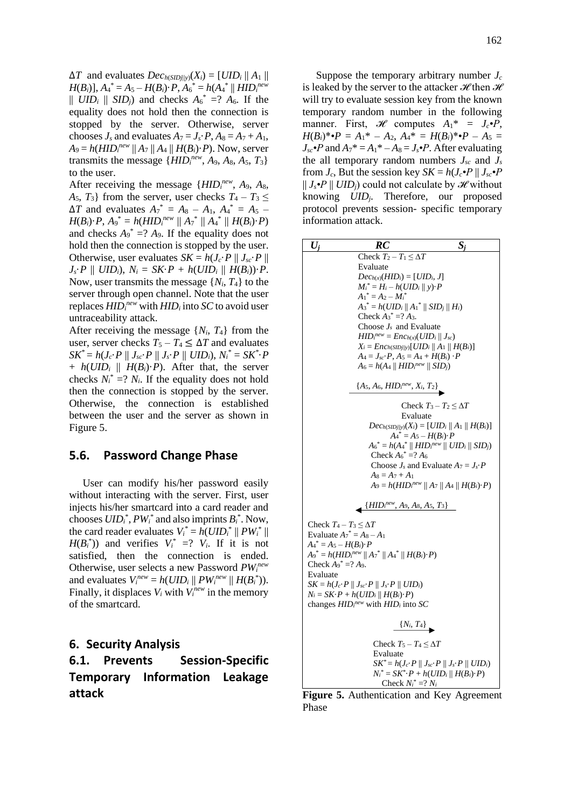162

 $\Delta T$  and evaluates  $Dec_{h(SIDj||y)}(X_i) = [UID_i || A_1 ||$  $H(B_i)$ ],  $A_4^* = A_5 - H(B_i) \cdot P$ ,  $A_6^* = h(A_4^* \parallel HID_i^{new})$  $||$  *UID*<sup>*i*</sup>  $||$  *SID*<sup>*j*</sup>) and checks  $A_6^* = ? A_6$ . If the equality does not hold then the connection is stopped by the server. Otherwise, server chooses  $J_s$  and evaluates  $A_7 = J_s \cdot P$ ,  $A_8 = A_7 + A_1$ ,  $A_9 = h(HID_i^{new} || A_7 || A_4 || H(B_i) \cdot P)$ . Now, server transmits the message  $\{HID_i^{new}, A_9, A_8, A_5, T_3\}$ to the user.

After receiving the message { $HID<sub>i</sub><sup>new</sup>$ ,  $A<sub>9</sub>$ ,  $A<sub>8</sub>$ ,  $A_5$ ,  $T_3$ } from the server, user checks  $T_4 - T_3 \leq$  $\Delta T$  and evaluates  $A_7^* = A_8 - A_1, A_4^* = A_5 - A_6$  $H(B_i) \cdot P$ ,  $A_9^* = h(HID_i^{new} || A_7^* || A_4^* || H(B_i) \cdot P)$ and checks  $A_9^* = ? A_9$ . If the equality does not hold then the connection is stopped by the user. Otherwise, user evaluates  $SK = h(J_c \cdot P || J_{sc} \cdot P ||$  $J_s \cdot P \parallel UID_i$ ,  $N_i = SK \cdot P + h(UID_i \parallel H(B_i)) \cdot P$ . Now, user transmits the message  $\{N_i, T_4\}$  to the server through open channel. Note that the user replaces *HID<sup>i</sup> new* with *HID<sup>i</sup>* into *SC* to avoid user untraceability attack.

After receiving the message  $\{N_i, T_4\}$  from the user, server checks  $T_5 - T_4 \leq \Delta T$  and evaluates  $\mathcal{S}\mathcal{K}^* = h(J_c\cdotp P \parallel J_{sc}\cdotp P \parallel J_s\cdotp P \parallel UID_i), \, N_i^* = \mathcal{S}\mathcal{K}^*\cdotp P$ +  $h(UID_i \parallel H(B_i) \cdot P)$ . After that, the server checks  $N_i^* = ? N_i$ . If the equality does not hold then the connection is stopped by the server. Otherwise, the connection is established between the user and the server as shown in Figure 5.

# **5.6. Password Change Phase**

User can modify his/her password easily without interacting with the server. First, user injects his/her smartcard into a card reader and chooses  $UID_i^*$ ,  $PW_i^*$  and also imprints  $B_i^*$ . Now, the card reader evaluates  $V_i^* = h(UID_i^* || PW_i^* ||$  $H(B_i^*)$ ) and verifies  $V_i^* = ?$   $V_i$ . If it is not satisfied, then the connection is ended. Otherwise, user selects a new Password *PW<sup>i</sup> new* and evaluates  $V_i^{new} = h(UID_i || PW_i^{new} || H(B_i^*)).$ Finally, it displaces  $V_i$  with  $V_i^{new}$  in the memory of the smartcard.

### **6. Security Analysis**

**6.1. Prevents Session-Specific Temporary Information Leakage attack**

Suppose the temporary arbitrary number *J<sup>c</sup>* is leaked by the server to the attacker  $\mathcal{H}$  then  $\mathcal{H}$ will try to evaluate session key from the known temporary random number in the following manner. First,  $\mathcal{H}$  computes  $A_1^* = J_c \cdot P$ ,  $H(B_i)^* \cdot P = A_1^* - A_2$ ,  $A_4^* = H(B_i)^* \cdot P - A_5 =$  $J_{sc}$  • *P* and  $A_7$ <sup>\*</sup> =  $A_1$ <sup>\*</sup> –  $A_8$  =  $J_s$  • *P*. After evaluating the all temporary random numbers  $J_{sc}$  and  $J_{s}$ from  $J_c$ , But the session key  $SK = h(J_c \cdot P || J_{sc} \cdot P)$  $|| J_s \cdot P || UID_i$  could not calculate by *H* without knowing *UIDj*. Therefore, our proposed protocol prevents session- specific temporary information attack.

| $\boldsymbol{U_i}$                                             | RC                                                                                   | $S_i$                                                                                  |
|----------------------------------------------------------------|--------------------------------------------------------------------------------------|----------------------------------------------------------------------------------------|
|                                                                | Check $T_2 - T_1 \leq \Delta T$                                                      |                                                                                        |
|                                                                | Evaluate<br>$Dec_{h(x)}(HID_i) = [UID_i, J]$                                         |                                                                                        |
|                                                                | $M_i^* = H_i - h(UID_i    y) \cdot P$                                                |                                                                                        |
|                                                                | $A_1^* = A_2 - M_i^*$                                                                |                                                                                        |
|                                                                | $A_3^* = h(UID_i    A_1^*    SID_j    H_i)$                                          |                                                                                        |
|                                                                | Check $A_3^* = ? A_3$ .                                                              |                                                                                        |
|                                                                | Choose $J_s$ and Evaluate<br>$HID_i^{new} = Enc_{h(x)}(UID_i    J_{sc})$             |                                                                                        |
|                                                                |                                                                                      | $X_i = Enc_{h(SIDj  y)}[UID_i    A_1    H(B_i)]$                                       |
|                                                                | $A_4 = J_{sc} \cdot P$ , $A_5 = A_4 + H(B_i) \cdot P$                                |                                                                                        |
|                                                                | $A_6 = h(A_4 \,    \, HID_i^{new} \,    \, SID_j)$                                   |                                                                                        |
|                                                                | ${A_5, A_6, HID_i^{new}, X_i, T_2}$                                                  |                                                                                        |
|                                                                |                                                                                      |                                                                                        |
|                                                                |                                                                                      | Check $T_3 - T_2 \leq \Delta T$<br>Evaluate                                            |
|                                                                |                                                                                      | $Dec_{h(SIDj  y)}(X_i) = [UID_i    A_1    H(B_i)]$                                     |
|                                                                |                                                                                      | $A_4^* = A_5 - H(B_i) \cdot P$                                                         |
|                                                                |                                                                                      | $A_6^* = h(A_4^*    HID_i^{new}    UID_i    SID_j)$                                    |
|                                                                | Check $A_6^*$ =? $A_6$                                                               |                                                                                        |
|                                                                | $A_8 = A_7 + A_1$                                                                    | Choose $J_s$ and Evaluate $A_7 = J_s \cdot P$                                          |
|                                                                |                                                                                      | $A_9 = h(HID_i^{new}    A_7    A_4    H(B_i) \cdot P)$                                 |
|                                                                | $\{HID_i^{new}, A_9, A_8, A_5, T_3\}$                                                |                                                                                        |
| Check $T_4 - T_3 \leq \Delta T$                                |                                                                                      |                                                                                        |
| Evaluate $A_7^* = A_8 - A_1$<br>$A_4^* = A_5 - H(B_i) \cdot P$ |                                                                                      |                                                                                        |
|                                                                | $A_9^* = h(HID_i^{new}    A_7^*    A_4^*    H(B_i) \cdot P)$                         |                                                                                        |
| Check $A_9^* = ? A_9$ .                                        |                                                                                      |                                                                                        |
| Evaluate                                                       |                                                                                      |                                                                                        |
|                                                                | $SK = h(J_c \cdot P \parallel J_{sc} \cdot P \parallel J_s \cdot P \parallel UID_i)$ |                                                                                        |
|                                                                | $N_i = SK \cdot P + h(UID_i    H(B_i) \cdot P)$                                      |                                                                                        |
|                                                                | changes $HIDinew$ with $HIDi$ into SC                                                |                                                                                        |
|                                                                |                                                                                      | $\{N_i, T_4\}$                                                                         |
|                                                                | Check $T_5 - T_4 \leq \Delta T$                                                      |                                                                                        |
|                                                                | Evaluate                                                                             |                                                                                        |
|                                                                |                                                                                      | $SK^* = h(J_c \cdot P \parallel J_{sc} \cdot P \parallel J_s \cdot P \parallel UID_i)$ |
|                                                                | Check $N_i^* = ? N_i$                                                                | $N_i^* = SK^* \cdot P + h(UID_i    H(B_i) \cdot P)$                                    |
|                                                                |                                                                                      |                                                                                        |

**Figure 5.** Authentication and Key Agreement Phase